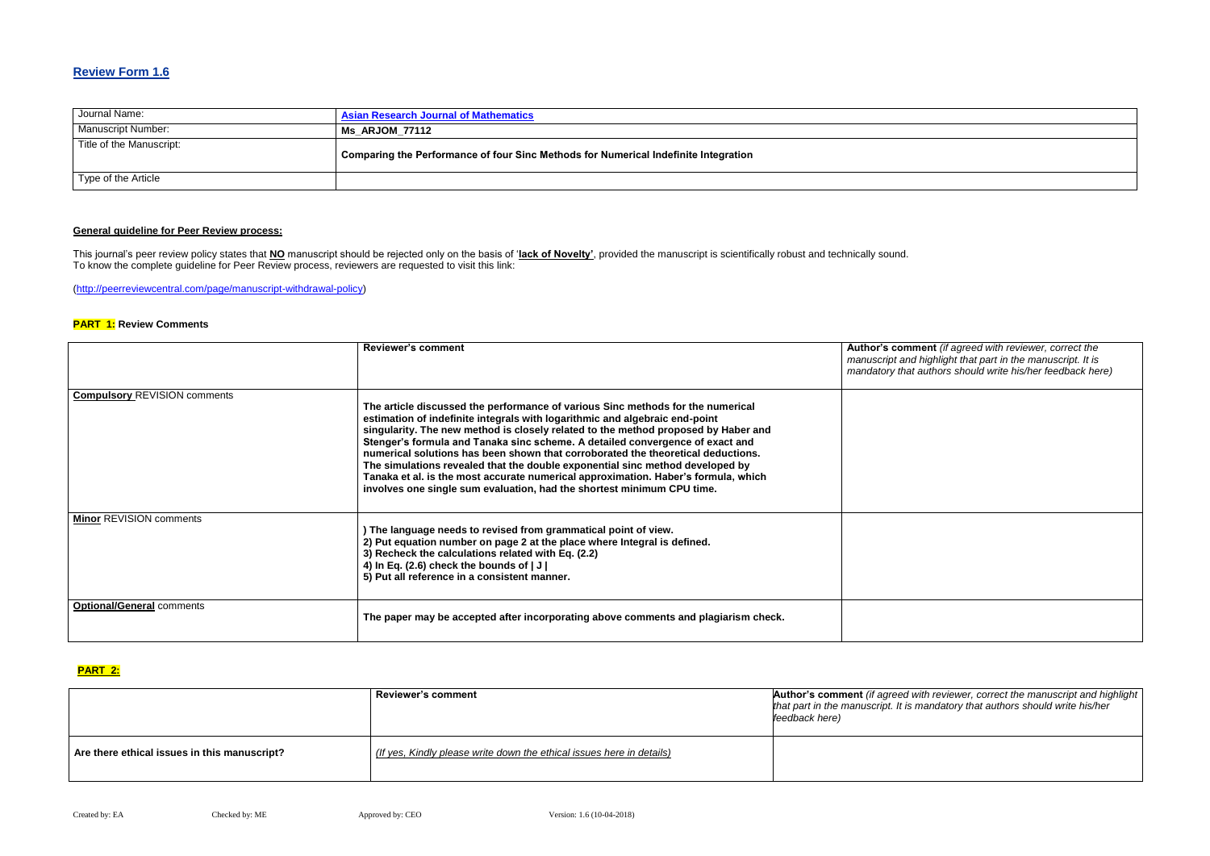## **Review Form 1.6**

| Journal Name:             | <b>Asian Research Journal of Mathematics</b>                                        |
|---------------------------|-------------------------------------------------------------------------------------|
| <b>Manuscript Number:</b> | Ms ARJOM 77112                                                                      |
| Title of the Manuscript:  | Comparing the Performance of four Sinc Methods for Numerical Indefinite Integration |
| Type of the Article       |                                                                                     |

### **General guideline for Peer Review process:**

**Reviews and** *Repreed with reviewer, correct the manuscript and highlight that part in the manuscript. It is mandatory that authors should write his/her feedback here)*

This journal's peer review policy states that **NO** manuscript should be rejected only on the basis of '**lack of Novelty'**, provided the manuscript is scientifically robust and technically sound. To know the complete guideline for Peer Review process, reviewers are requested to visit this link:

[\(http://peerreviewcentral.com/page/manuscript-withdrawal-policy\)](http://peerreviewcentral.com/page/manuscript-withdrawal-policy)

#### **PART 1: Review Comments**

**with reviewer, correct the manuscript and highlight** *that part in the manuscript. It is mandatory that authors should write his/her* 

|                                     | <b>Reviewer's comment</b>                                                                                                                                                                                                                                                                                                                                                                                                                                                                                                                                                                                                                                                  | Author's com<br>manuscript and<br>mandatory that |
|-------------------------------------|----------------------------------------------------------------------------------------------------------------------------------------------------------------------------------------------------------------------------------------------------------------------------------------------------------------------------------------------------------------------------------------------------------------------------------------------------------------------------------------------------------------------------------------------------------------------------------------------------------------------------------------------------------------------------|--------------------------------------------------|
| <b>Compulsory REVISION comments</b> | The article discussed the performance of various Sinc methods for the numerical<br>estimation of indefinite integrals with logarithmic and algebraic end-point<br>singularity. The new method is closely related to the method proposed by Haber and<br>Stenger's formula and Tanaka sinc scheme. A detailed convergence of exact and<br>numerical solutions has been shown that corroborated the theoretical deductions.<br>The simulations revealed that the double exponential sinc method developed by<br>Tanaka et al. is the most accurate numerical approximation. Haber's formula, which<br>involves one single sum evaluation, had the shortest minimum CPU time. |                                                  |
| <b>Minor REVISION comments</b>      | ) The language needs to revised from grammatical point of view.<br>2) Put equation number on page 2 at the place where Integral is defined.<br>3) Recheck the calculations related with Eq. (2.2)<br>4) In Eq. (2.6) check the bounds of $ J $<br>5) Put all reference in a consistent manner.                                                                                                                                                                                                                                                                                                                                                                             |                                                  |
| <b>Optional/General comments</b>    | The paper may be accepted after incorporating above comments and plagiarism check.                                                                                                                                                                                                                                                                                                                                                                                                                                                                                                                                                                                         |                                                  |

#### **PART 2:**

|                                              | <b>Reviewer's comment</b>                                             | Author's comment (if agreed<br>that part in the manuscript. It is<br>feedback here) |
|----------------------------------------------|-----------------------------------------------------------------------|-------------------------------------------------------------------------------------|
| Are there ethical issues in this manuscript? | (If yes, Kindly please write down the ethical issues here in details) |                                                                                     |